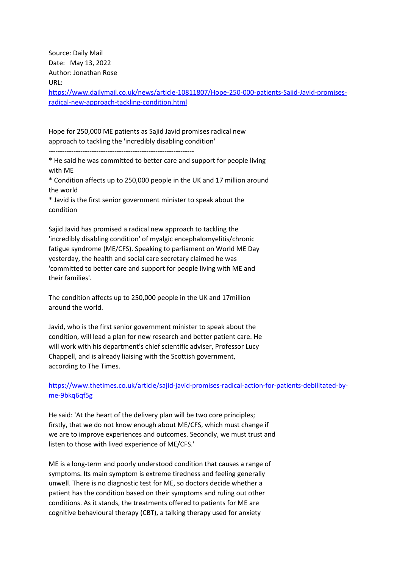Source: Daily Mail Date: May 13, 2022 Author: Jonathan Rose URL: [https://www.dailymail.co.uk/news/article-10811807/Hope-250-000-patients-Sajid-Javid-promises](https://www.dailymail.co.uk/news/article-10811807/Hope-250-000-patients-Sajid-Javid-promises-radical-new-approach-tackling-condition.html)[radical-new-approach-tackling-condition.html](https://www.dailymail.co.uk/news/article-10811807/Hope-250-000-patients-Sajid-Javid-promises-radical-new-approach-tackling-condition.html)

Hope for 250,000 ME patients as Sajid Javid promises radical new approach to tackling the 'incredibly disabling condition'

----------------------------------------------------------------

\* He said he was committed to better care and support for people living with ME

\* Condition affects up to 250,000 people in the UK and 17 million around the world

\* Javid is the first senior government minister to speak about the condition

Sajid Javid has promised a radical new approach to tackling the 'incredibly disabling condition' of myalgic encephalomyelitis/chronic fatigue syndrome (ME/CFS). Speaking to parliament on World ME Day yesterday, the health and social care secretary claimed he was 'committed to better care and support for people living with ME and their families'.

The condition affects up to 250,000 people in the UK and 17million around the world.

Javid, who is the first senior government minister to speak about the condition, will lead a plan for new research and better patient care. He will work with his department's chief scientific adviser, Professor Lucy Chappell, and is already liaising with the Scottish government, according to The Times.

## [https://www.thetimes.co.uk/article/sajid-javid-promises-radical-action-for-patients-debilitated-by](https://www.thetimes.co.uk/article/sajid-javid-promises-radical-action-for-patients-debilitated-by-me-9bkq6qf5g)[me-9bkq6qf5g](https://www.thetimes.co.uk/article/sajid-javid-promises-radical-action-for-patients-debilitated-by-me-9bkq6qf5g)

He said: 'At the heart of the delivery plan will be two core principles; firstly, that we do not know enough about ME/CFS, which must change if we are to improve experiences and outcomes. Secondly, we must trust and listen to those with lived experience of ME/CFS.'

ME is a long-term and poorly understood condition that causes a range of symptoms. Its main symptom is extreme tiredness and feeling generally unwell. There is no diagnostic test for ME, so doctors decide whether a patient has the condition based on their symptoms and ruling out other conditions. As it stands, the treatments offered to patients for ME are cognitive behavioural therapy (CBT), a talking therapy used for anxiety